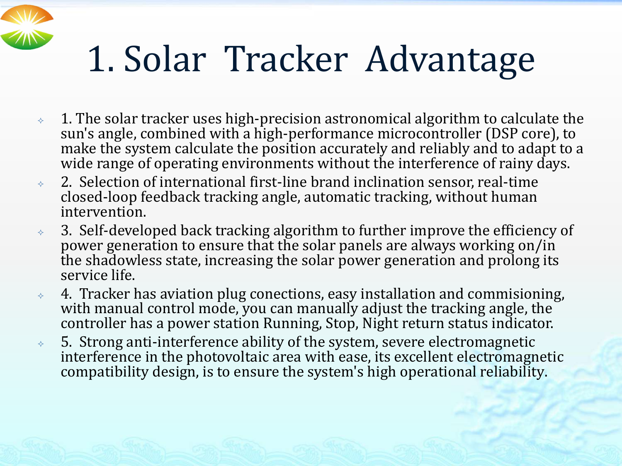## 1. Solar Tracker Advantage

- $\rightarrow$  1. The solar tracker uses high-precision astronomical algorithm to calculate the sun's angle, combined with a high-performance microcontroller (DSP core), to make the system calculate the position accurately and reliably and to adapt to a wide range of operating environments without the interference of rainy days.
- $\rightarrow$  2. Selection of international first-line brand inclination sensor, real-time closed-loop feedback tracking angle, automatic tracking, without human intervention.
- $\rightarrow$  3. Self-developed back tracking algorithm to further improve the efficiency of power generation to ensure that the solar panels are always working on/in the shadowless state, increasing the solar power generation and prolong its service life.
- $\rightarrow$  4. Tracker has aviation plug conections, easy installation and commisioning, with manual control mode, you can manually adjust the tracking angle, the controller has a power station Running, Stop, Night return status indicator.
- $\rightarrow$  5. Strong anti-interference ability of the system, severe electromagnetic interference in the photovoltaic area with ease, its excellent electromagnetic compatibility design, is to ensure the system's high operational reliability.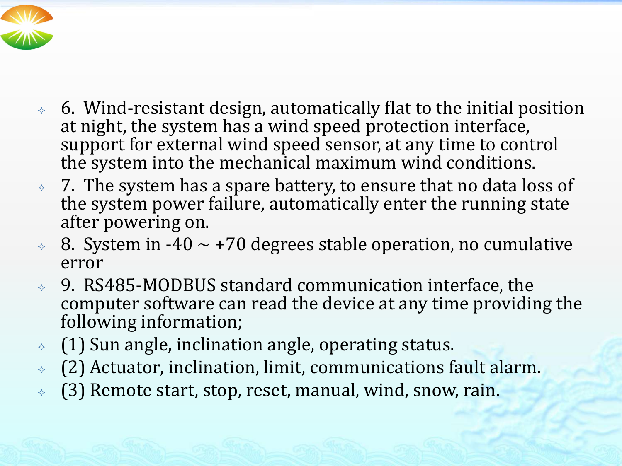

- $\lozenge$  6. Wind-resistant design, automatically flat to the initial position at night, the system has a wind speed protection interface, support for external wind speed sensor, at any time to control the system into the mechanical maximum wind conditions.
- $\rightarrow$  7. The system has a spare battery, to ensure that no data loss of the system power failure, automatically enter the running state after powering on.
- $\sim 8$ . System in -40  $\sim$  +70 degrees stable operation, no cumulative error
- 9. RS485-MODBUS standard communication interface, the computer software can read the device at any time providing the following information;
- (1) Sun angle, inclination angle, operating status.
- (2) Actuator, inclination, limit, communications fault alarm.
- (3) Remote start, stop, reset, manual, wind, snow, rain.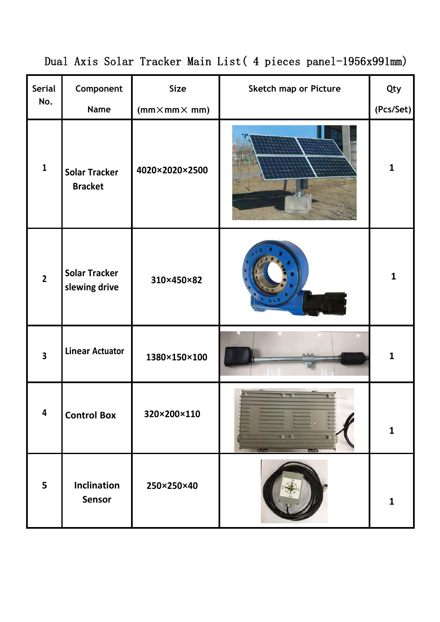|                         |                                        |                                           | Dual Axis Solar Tracker Main List (4 pieces panel-1956x991mm) |                  |
|-------------------------|----------------------------------------|-------------------------------------------|---------------------------------------------------------------|------------------|
| Serial<br>No.           | Component<br>Name                      | <b>Size</b><br>$(mm \times mm \times mm)$ | Sketch map or Picture                                         | Qty<br>(Pcs/Set) |
| $\mathbf{1}$            | <b>Solar Tracker</b><br><b>Bracket</b> | 4020×2020×2500                            |                                                               | $\mathbf{1}$     |
| $\overline{2}$          | <b>Solar Tracker</b><br>slewing drive  | 310×450×82                                |                                                               | $\mathbf{1}$     |
| $\overline{\mathbf{3}}$ | <b>Linear Actuator</b>                 | 1380×150×100                              |                                                               | $\mathbf{1}$     |
| $\overline{\mathbf{4}}$ | <b>Control Box</b>                     | 320×200×110                               |                                                               | $\mathbf{1}$     |
| 5                       | Inclination<br>Sensor                  | 250×250×40                                |                                                               | $\mathbf{1}$     |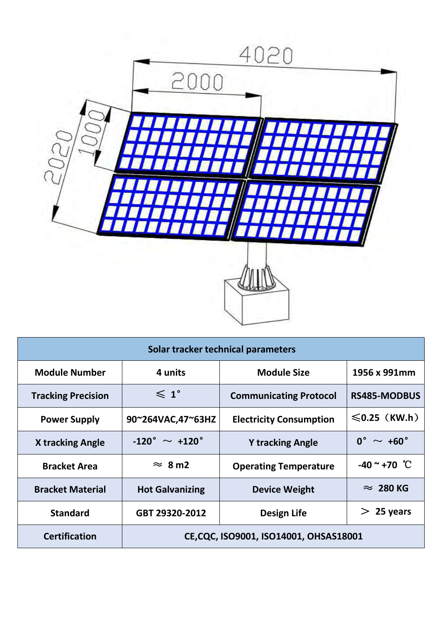

| Solar tracker technical parameters<br><b>Module Number</b><br><b>Module Size</b><br>4 units<br>1956 x 991mm<br>$\leqslant 1^{\circ}$<br><b>Tracking Precision</b><br><b>Communicating Protocol</b><br><b>RS485-MODBUS</b> |
|---------------------------------------------------------------------------------------------------------------------------------------------------------------------------------------------------------------------------|
|                                                                                                                                                                                                                           |
|                                                                                                                                                                                                                           |
|                                                                                                                                                                                                                           |
| $\leqslant$ 0.25 (KW.h)<br><b>Electricity Consumption</b><br><b>Power Supply</b><br>90~264VAC,47~63HZ                                                                                                                     |
| $0^\circ \sim +60^\circ$<br>-120 $^{\circ}$ $\sim$ +120 $^{\circ}$<br><b>X tracking Angle</b><br><b>Y tracking Angle</b>                                                                                                  |
| $-40$ ~ +70 °C<br>$\approx 8 \text{ m2}$<br><b>Bracket Area</b><br><b>Operating Temperature</b>                                                                                                                           |
| $\approx 280$ KG<br><b>Bracket Material</b><br><b>Hot Galvanizing</b><br><b>Device Weight</b>                                                                                                                             |
| $> 25$ years<br><b>Design Life</b><br><b>Standard</b><br>GBT 29320-2012                                                                                                                                                   |
| <b>Certification</b><br>CE, CQC, ISO9001, ISO14001, OHSAS18001                                                                                                                                                            |